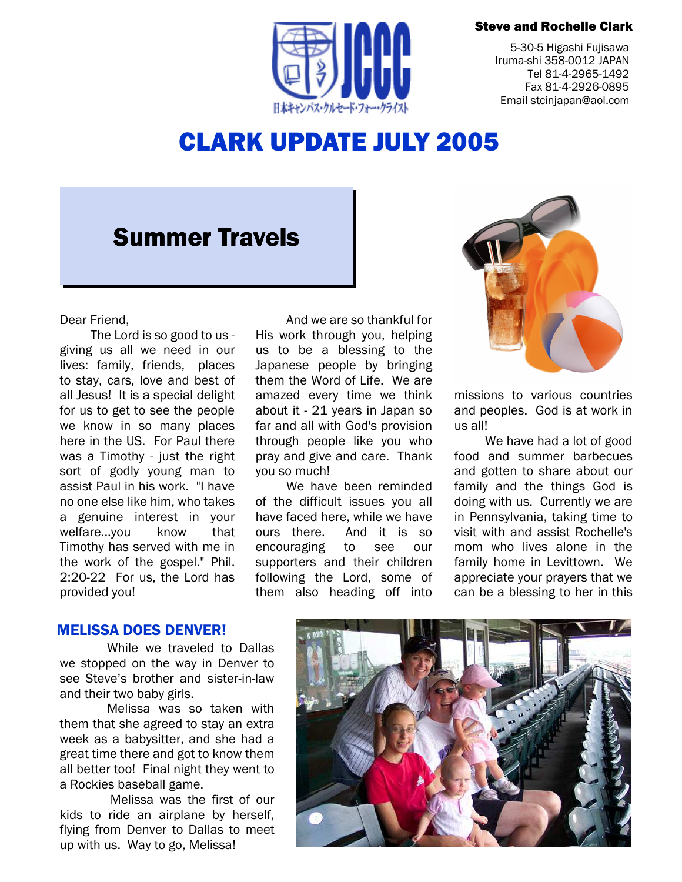### Steve and Rochelle Clark



5-30-5 Higashi Fujisawa Iruma-shi 358-0012 JAPAN Tel 81-4-2965-1492 Fax 81-4-2926-0895 Email stcinjapan@aol.com

# CLARK UPDATE JULY 2005

# Summer Travels

### Dear Friend,

The Lord is so good to us giving us all we need in our lives: family, friends, places to stay, cars, love and best of all Jesus! It is a special delight for us to get to see the people we know in so many places here in the US. For Paul there was a Timothy - just the right sort of godly young man to assist Paul in his work. "I have no one else like him, who takes a genuine interest in your welfare...you know that Timothy has served with me in the work of the gospel." Phil. 2:20-22 For us, the Lord has provided you!

And we are so thankful for His work through you, helping us to be a blessing to the Japanese people by bringing them the Word of Life. We are amazed every time we think about it - 21 years in Japan so far and all with God's provision through people like you who pray and give and care. Thank you so much!

We have been reminded of the difficult issues you all have faced here, while we have ours there. And it is so encouraging to see our supporters and their children following the Lord, some of them also heading off into



missions to various countries and peoples. God is at work in us all!

We have had a lot of good food and summer barbecues and gotten to share about our family and the things God is doing with us. Currently we are in Pennsylvania, taking time to visit with and assist Rochelle's mom who lives alone in the family home in Levittown. We appreciate your prayers that we can be a blessing to her in this

## MELISSA DOES DENVER!

While we traveled to Dallas we stopped on the way in Denver to see Steve's brother and sister-in-law and their two baby girls.

Melissa was so taken with them that she agreed to stay an extra week as a babysitter, and she had a great time there and got to know them all better too! Final night they went to a Rockies baseball game.

 Melissa was the first of our kids to ride an airplane by herself, flying from Denver to Dallas to meet up with us. Way to go, Melissa!